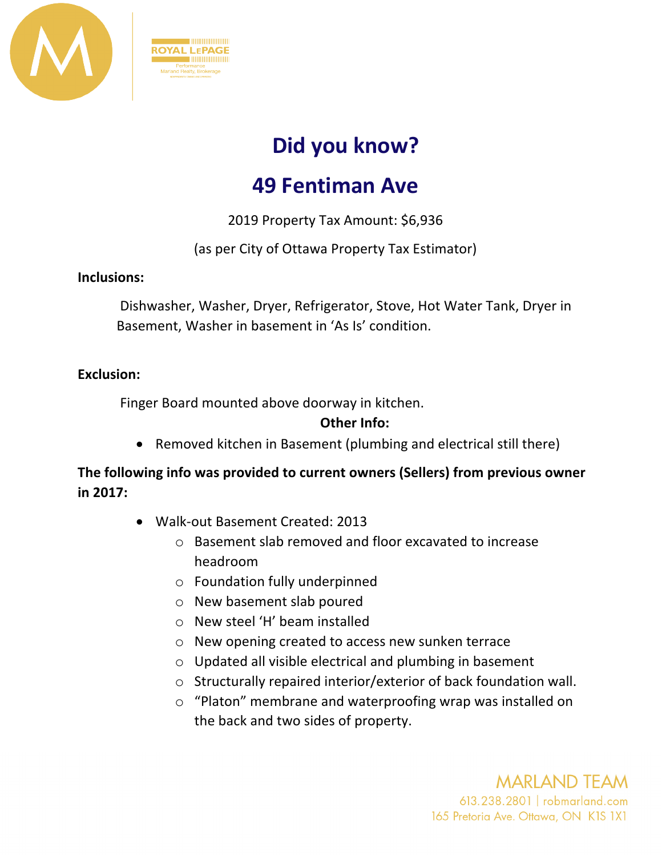

# **Did you know?**

# **49 Fentiman Ave**

2019 Property Tax Amount: \$6,936

## (as per City of Ottawa Property Tax Estimator)

#### **Inclusions:**

Dishwasher, Washer, Dryer, Refrigerator, Stove, Hot Water Tank, Dryer in Basement, Washer in basement in 'As Is' condition.

#### **Exclusion:**

Finger Board mounted above doorway in kitchen.

 $\blacksquare$ **ROYAL LEPAGE** 

#### **Other Info:**

• Removed kitchen in Basement (plumbing and electrical still there)

### **The following info was provided to current owners (Sellers) from previous owner in 2017:**

- Walk-out Basement Created: 2013
	- o Basement slab removed and floor excavated to increase headroom
	- o Foundation fully underpinned
	- o New basement slab poured
	- o New steel 'H' beam installed
	- o New opening created to access new sunken terrace
	- o Updated all visible electrical and plumbing in basement
	- o Structurally repaired interior/exterior of back foundation wall.
	- o "Platon" membrane and waterproofing wrap was installed on the back and two sides of property.